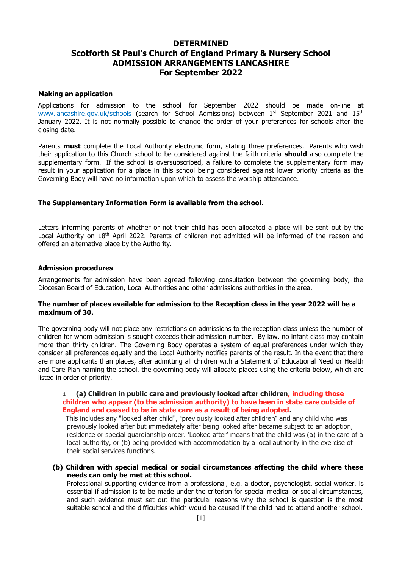## **DETERMINED Scotforth St Paul's Church of England Primary & Nursery School ADMISSION ARRANGEMENTS LANCASHIRE For September 2022**

## **Making an application**

Applications for admission to the school for September 2022 should be made on-line at [www.lancashire.gov.uk/](http://www.lancashire.gov.uk/)schools (search for School Admissions) between 1<sup>st</sup> September 2021 and 15<sup>th</sup> January 2022. It is not normally possible to change the order of your preferences for schools after the closing date.

Parents **must** complete the Local Authority electronic form, stating three preferences. Parents who wish their application to this Church school to be considered against the faith criteria **should** also complete the supplementary form. If the school is oversubscribed, a failure to complete the supplementary form may result in your application for a place in this school being considered against lower priority criteria as the Governing Body will have no information upon which to assess the worship attendance.

## **The Supplementary Information Form is available from the school.**

Letters informing parents of whether or not their child has been allocated a place will be sent out by the Local Authority on 18<sup>th</sup> April 2022. Parents of children not admitted will be informed of the reason and offered an alternative place by the Authority.

#### **Admission procedures**

Arrangements for admission have been agreed following consultation between the governing body, the Diocesan Board of Education, Local Authorities and other admissions authorities in the area.

### **The number of places available for admission to the Reception class in the year 2022 will be a maximum of 30.**

The governing body will not place any restrictions on admissions to the reception class unless the number of children for whom admission is sought exceeds their admission number. By law, no infant class may contain more than thirty children. The Governing Body operates a system of equal preferences under which they consider all preferences equally and the Local Authority notifies parents of the result. In the event that there are more applicants than places, after admitting all children with a Statement of Educational Need or Health and Care Plan naming the school, the governing body will allocate places using the criteria below, which are listed in order of priority.

## **1 (a) Children in public care and previously looked after children, including those children who appear (to the admission authority) to have been in state care outside of England and ceased to be in state care as a result of being adopted.**

 This includes any "looked after child", "previously looked after children" and any child who was previously looked after but immediately after being looked after became subject to an adoption, residence or special guardianship order. 'Looked after' means that the child was (a) in the care of a local authority, or (b) being provided with accommodation by a local authority in the exercise of their social services functions.

**(b) Children with special medical or social circumstances affecting the child where these needs can only be met at this school.**

Professional supporting evidence from a professional, e.g. a doctor, psychologist, social worker, is essential if admission is to be made under the criterion for special medical or social circumstances, and such evidence must set out the particular reasons why the school is question is the most suitable school and the difficulties which would be caused if the child had to attend another school.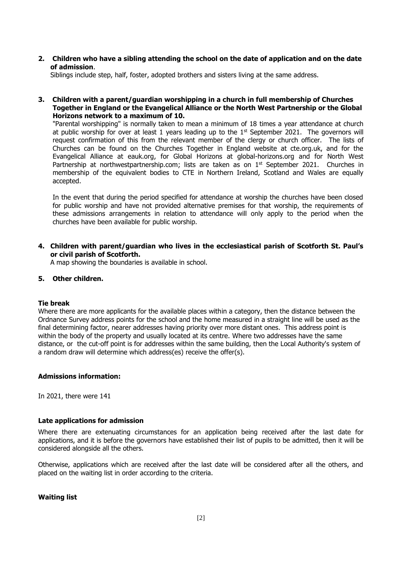**2. Children who have a sibling attending the school on the date of application and on the date of admission**.

Siblings include step, half, foster, adopted brothers and sisters living at the same address.

**3. Children with a parent/guardian worshipping in a church in full membership of Churches Together in England or the Evangelical Alliance or the North West Partnership or the Global Horizons network to a maximum of 10.** 

"Parental worshipping" is normally taken to mean a minimum of 18 times a year attendance at church at public worship for over at least 1 years leading up to the  $1<sup>st</sup>$  September 2021. The governors will request confirmation of this from the relevant member of the clergy or church officer. The lists of Churches can be found on the Churches Together in England website at cte.org.uk, and for the Evangelical Alliance at eauk.org, for Global Horizons at global-horizons.org and for North West Partnership at northwestpartnership.com; lists are taken as on  $1<sup>st</sup>$  September 2021. Churches in membership of the equivalent bodies to CTE in Northern Ireland, Scotland and Wales are equally accepted.

In the event that during the period specified for attendance at worship the churches have been closed for public worship and have not provided alternative premises for that worship, the requirements of these admissions arrangements in relation to attendance will only apply to the period when the churches have been available for public worship.

**4. Children with parent/guardian who lives in the ecclesiastical parish of Scotforth St. Paul's or civil parish of Scotforth.**

A map showing the boundaries is available in school.

## **5. Other children.**

#### **Tie break**

Where there are more applicants for the available places within a category, then the distance between the Ordnance Survey address points for the school and the home measured in a straight line will be used as the final determining factor, nearer addresses having priority over more distant ones. This address point is within the body of the property and usually located at its centre. Where two addresses have the same distance, or the cut-off point is for addresses within the same building, then the Local Authority's system of a random draw will determine which address(es) receive the offer(s).

#### **Admissions information:**

In 2021, there were 141

#### **Late applications for admission**

Where there are extenuating circumstances for an application being received after the last date for applications, and it is before the governors have established their list of pupils to be admitted, then it will be considered alongside all the others.

Otherwise, applications which are received after the last date will be considered after all the others, and placed on the waiting list in order according to the criteria.

### **Waiting list**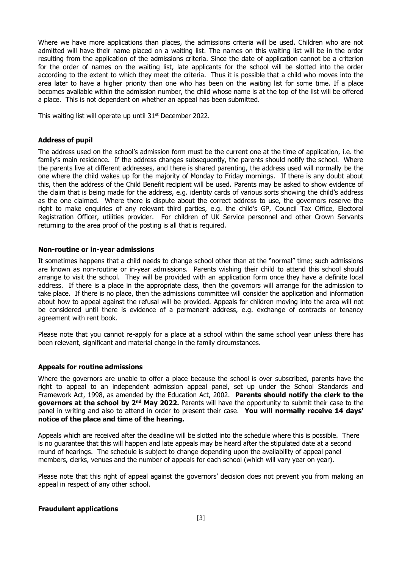Where we have more applications than places, the admissions criteria will be used. Children who are not admitted will have their name placed on a waiting list. The names on this waiting list will be in the order resulting from the application of the admissions criteria. Since the date of application cannot be a criterion for the order of names on the waiting list, late applicants for the school will be slotted into the order according to the extent to which they meet the criteria. Thus it is possible that a child who moves into the area later to have a higher priority than one who has been on the waiting list for some time. If a place becomes available within the admission number, the child whose name is at the top of the list will be offered a place. This is not dependent on whether an appeal has been submitted.

This waiting list will operate up until  $31<sup>st</sup>$  December 2022.

#### **Address of pupil**

The address used on the school's admission form must be the current one at the time of application, i.e. the family's main residence. If the address changes subsequently, the parents should notify the school. Where the parents live at different addresses, and there is shared parenting, the address used will normally be the one where the child wakes up for the majority of Monday to Friday mornings. If there is any doubt about this, then the address of the Child Benefit recipient will be used. Parents may be asked to show evidence of the claim that is being made for the address, e.g. identity cards of various sorts showing the child's address as the one claimed. Where there is dispute about the correct address to use, the governors reserve the right to make enquiries of any relevant third parties, e.g. the child's GP, Council Tax Office, Electoral Registration Officer, utilities provider. For children of UK Service personnel and other Crown Servants returning to the area proof of the posting is all that is required.

#### **Non-routine or in-year admissions**

It sometimes happens that a child needs to change school other than at the "normal" time; such admissions are known as non-routine or in-year admissions. Parents wishing their child to attend this school should arrange to visit the school. They will be provided with an application form once they have a definite local address. If there is a place in the appropriate class, then the governors will arrange for the admission to take place. If there is no place, then the admissions committee will consider the application and information about how to appeal against the refusal will be provided. Appeals for children moving into the area will not be considered until there is evidence of a permanent address, e.g. exchange of contracts or tenancy agreement with rent book.

Please note that you cannot re-apply for a place at a school within the same school year unless there has been relevant, significant and material change in the family circumstances.

#### **Appeals for routine admissions**

Where the governors are unable to offer a place because the school is over subscribed, parents have the right to appeal to an independent admission appeal panel, set up under the School Standards and Framework Act, 1998, as amended by the Education Act, 2002. **Parents should notify the clerk to the governors at the school by 2<sup>nd</sup> May 2022.** Parents will have the opportunity to submit their case to the panel in writing and also to attend in order to present their case. **You will normally receive 14 days' notice of the place and time of the hearing.**

Appeals which are received after the deadline will be slotted into the schedule where this is possible. There is no guarantee that this will happen and late appeals may be heard after the stipulated date at a second round of hearings. The schedule is subject to change depending upon the availability of appeal panel members, clerks, venues and the number of appeals for each school (which will vary year on year).

Please note that this right of appeal against the governors' decision does not prevent you from making an appeal in respect of any other school.

#### **Fraudulent applications**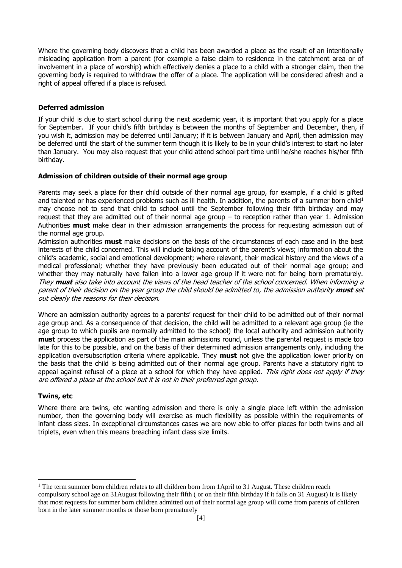Where the governing body discovers that a child has been awarded a place as the result of an intentionally misleading application from a parent (for example a false claim to residence in the catchment area or of involvement in a place of worship) which effectively denies a place to a child with a stronger claim, then the governing body is required to withdraw the offer of a place. The application will be considered afresh and a right of appeal offered if a place is refused.

## **Deferred admission**

If your child is due to start school during the next academic year, it is important that you apply for a place for September. If your child's fifth birthday is between the months of September and December, then, if you wish it, admission may be deferred until January; if it is between January and April, then admission may be deferred until the start of the summer term though it is likely to be in your child's interest to start no later than January. You may also request that your child attend school part time until he/she reaches his/her fifth birthday.

## **Admission of children outside of their normal age group**

Parents may seek a place for their child outside of their normal age group, for example, if a child is gifted and talented or has experienced problems such as ill health. In addition, the parents of a summer born child<sup>1</sup> may choose not to send that child to school until the September following their fifth birthday and may request that they are admitted out of their normal age group – to reception rather than year 1. Admission Authorities **must** make clear in their admission arrangements the process for requesting admission out of the normal age group.

Admission authorities **must** make decisions on the basis of the circumstances of each case and in the best interests of the child concerned. This will include taking account of the parent's views; information about the child's academic, social and emotional development; where relevant, their medical history and the views of a medical professional; whether they have previously been educated out of their normal age group; and whether they may naturally have fallen into a lower age group if it were not for being born prematurely. They **must** also take into account the views of the head teacher of the school concerned. When informing a parent of their decision on the year group the child should be admitted to, the admission authority **must** set out clearly the reasons for their decision.

Where an admission authority agrees to a parents' request for their child to be admitted out of their normal age group and. As a consequence of that decision, the child will be admitted to a relevant age group (ie the age group to which pupils are normally admitted to the school) the local authority and admission authority **must** process the application as part of the main admissions round, unless the parental request is made too late for this to be possible, and on the basis of their determined admission arrangements only, including the application oversubscription criteria where applicable. They **must** not give the application lower priority on the basis that the child is being admitted out of their normal age group. Parents have a statutory right to appeal against refusal of a place at a school for which they have applied. This right does not apply if they are offered a place at the school but it is not in their preferred age group.

#### **Twins, etc**

Where there are twins, etc wanting admission and there is only a single place left within the admission number, then the governing body will exercise as much flexibility as possible within the requirements of infant class sizes. In exceptional circumstances cases we are now able to offer places for both twins and all triplets, even when this means breaching infant class size limits.

<sup>-</sup><sup>1</sup> The term summer born children relates to all children born from 1April to 31 August. These children reach compulsory school age on 31August following their fifth ( or on their fifth birthday if it falls on 31 August) It is likely that most requests for summer born children admitted out of their normal age group will come from parents of children born in the later summer months or those born prematurely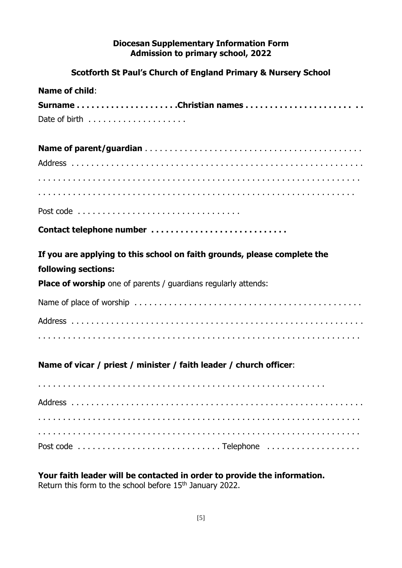# **Diocesan Supplementary Information Form Admission to primary school, 2022**

# **Scotforth St Paul's Church of England Primary & Nursery School**

| <b>Name of child:</b>                                                    |
|--------------------------------------------------------------------------|
| SurnameChristian names                                                   |
|                                                                          |
|                                                                          |
|                                                                          |
|                                                                          |
|                                                                          |
|                                                                          |
| Contact telephone number                                                 |
| If you are applying to this school on faith grounds, please complete the |
| following sections:                                                      |
| <b>Place of worship</b> one of parents / guardians regularly attends:    |
|                                                                          |
|                                                                          |
|                                                                          |
| Name of vicar / priest / minister / faith leader / church officer:       |
|                                                                          |
|                                                                          |
|                                                                          |
|                                                                          |
|                                                                          |

**Your faith leader will be contacted in order to provide the information.**

Return this form to the school before 15<sup>th</sup> January 2022.